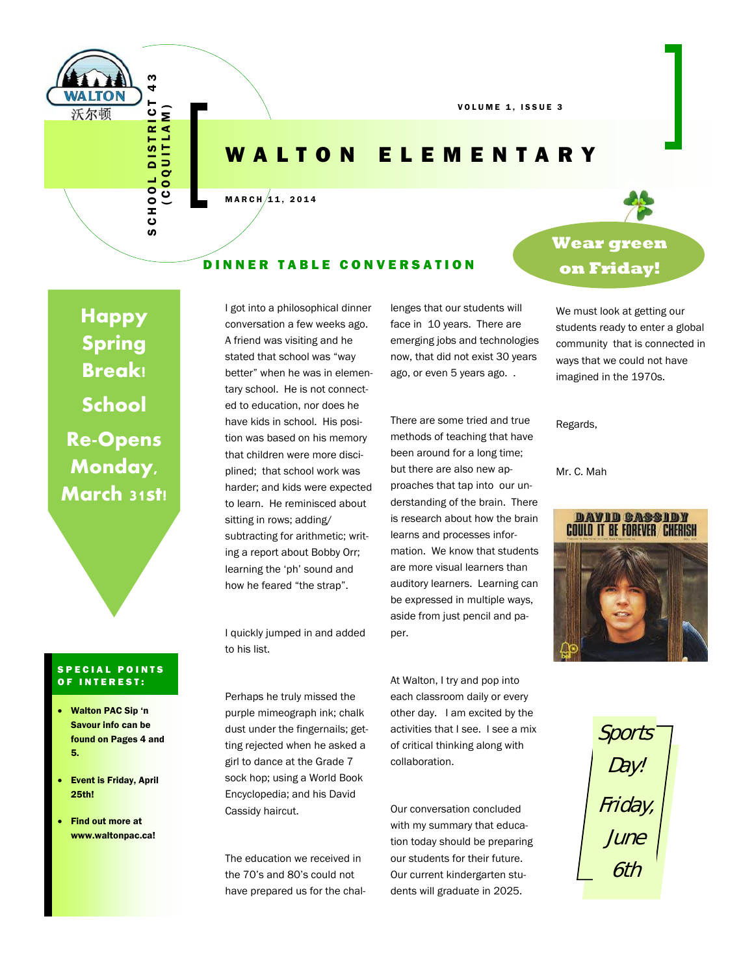

VOLUME 1, ISSUE 3

### WALTON ELEMENTARY

#### $MARTH/11, 2014$

#### DINNER TABLE CONVERSATION

**Happy Spring Break! School Re-Opens Monday, March 31st!** 

#### SPECIAL POINTS OF INTEREST:

- Walton PAC Sip 'n Savour info can be found on Pages 4 and 5.
- Event is Friday, April 25th!
- Find out more at www.waltonpac.ca!

I got into a philosophical dinner conversation a few weeks ago. A friend was visiting and he stated that school was "way better" when he was in elementary school. He is not connected to education, nor does he have kids in school. His position was based on his memory that children were more disciplined; that school work was harder; and kids were expected to learn. He reminisced about sitting in rows; adding/ subtracting for arithmetic; writing a report about Bobby Orr; learning the 'ph' sound and how he feared "the strap".

lenges that our students will face in 10 years. There are emerging jobs and technologies now, that did not exist 30 years ago, or even 5 years ago. .

There are some tried and true methods of teaching that have been around for a long time; but there are also new approaches that tap into our understanding of the brain. There is research about how the brain learns and processes information. We know that students are more visual learners than auditory learners. Learning can be expressed in multiple ways, aside from just pencil and paper.

I quickly jumped in and added to his list.

Perhaps he truly missed the purple mimeograph ink; chalk dust under the fingernails; getting rejected when he asked a girl to dance at the Grade 7 sock hop; using a World Book Encyclopedia; and his David Cassidy haircut.

The education we received in the 70's and 80's could not have prepared us for the chalAt Walton, I try and pop into each classroom daily or every other day. I am excited by the activities that I see. I see a mix of critical thinking along with collaboration.

Our conversation concluded with my summary that education today should be preparing our students for their future. Our current kindergarten students will graduate in 2025.

## **Wear green on Friday!**

We must look at getting our students ready to enter a global community that is connected in ways that we could not have imagined in the 1970s.

Regards,

Mr. C. Mah



Sports Day! Friday, June 6th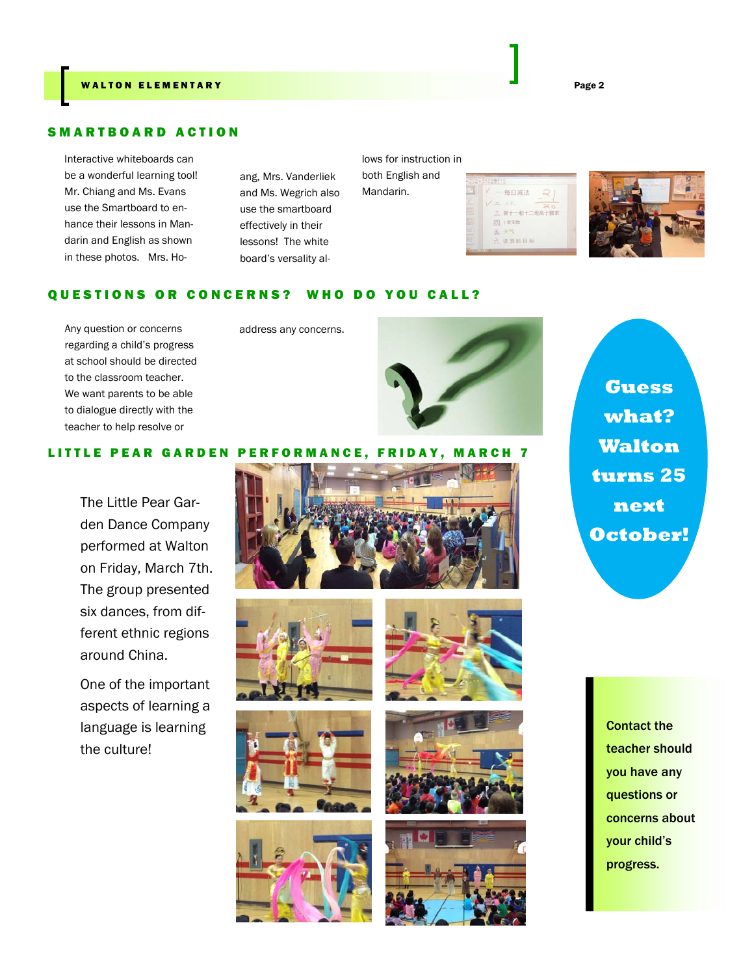#### SMARTBOARD ACTION

Interactive whiteboards can be a wonderful learning tool! Mr. Chiang and Ms. Evans use the Smartboard to enhance their lessons in Mandarin and English as shown in these photos. Mrs. Ho-

ang, Mrs. Vanderliek and Ms. Wegrich also use the smartboard effectively in their lessons! The white board's versality al-

lows for instruction in both English and

Mandarin.

每日减法 二 第十一和十二班高于要求 四上学天数 读我的目标



#### QUESTIONS OR CONCERNS? WHO DO YOU CALL?

Any question or concerns address any concerns. regarding a child's progress at school should be directed to the classroom teacher. We want parents to be able to dialogue directly with the teacher to help resolve or



#### LITTLE PEAR GARDEN PERFORMANCE, FRIDAY, MARCH 7

The Little Pear Garden Dance Company performed at Walton on Friday, March 7th. The group presented six dances, from different ethnic regions around China.

One of the important aspects of learning a language is learning the culture!















**Guess what? Walton turns 25 next October!** 

> Contact the teacher should you have any questions or concerns about your child's progress.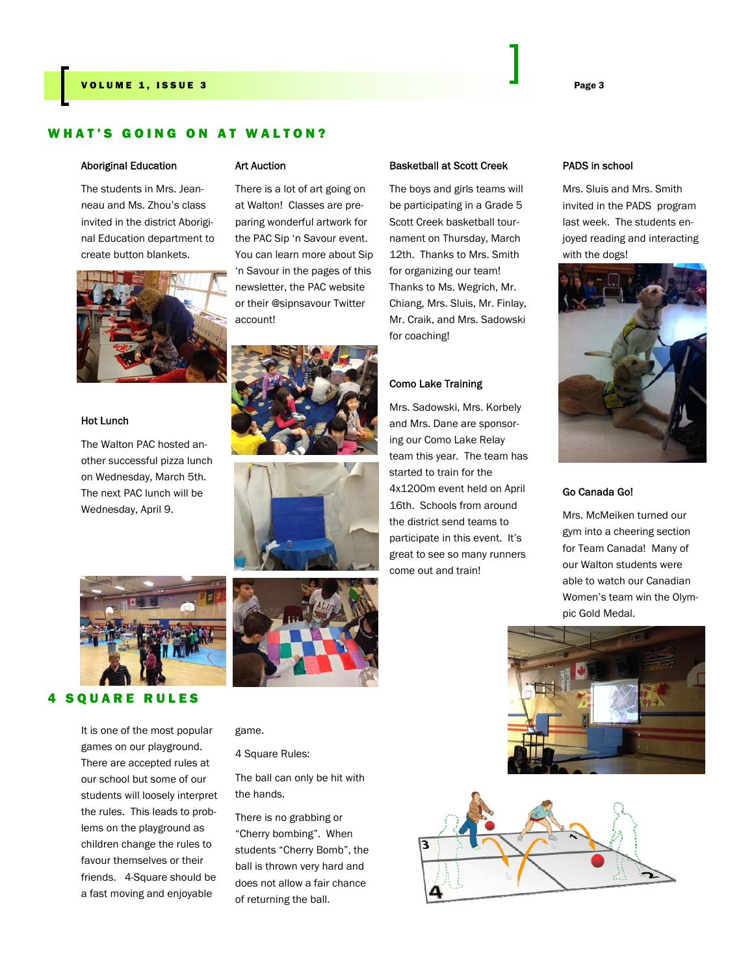#### WHAT'S GOING ON AT WALTON?

#### Aboriginal Education

The students in Mrs. Jeanneau and Ms. Zhou's class invited in the district Aboriginal Education department to create button blankets.



#### Hot Lunch

The Walton PAC hosted another successful pizza lunch on Wednesday, March 5th. The next PAC lunch will be Wednesday, April 9.



#### 4 SQUARE RULES

It is one of the most popular games on our playground. There are accepted rules at our school but some of our students will loosely interpret the rules. This leads to problems on the playground as children change the rules to favour themselves or their friends. 4-Square should be a fast moving and enjoyable

#### Art Auction

There is a lot of art going on at Walton! Classes are preparing wonderful artwork for the PAC Sip 'n Savour event. You can learn more about Sip 'n Savour in the pages of this newsletter, the PAC website or their @sipnsavour Twitter account!







game.

4 Square Rules:

The ball can only be hit with the hands.

There is no grabbing or "Cherry bombing". When students "Cherry Bomb", the ball is thrown very hard and does not allow a fair chance of returning the ball.

#### Basketball at Scott Creek

The boys and girls teams will be participating in a Grade 5 Scott Creek basketball tournament on Thursday, March 12th. Thanks to Mrs. Smith for organizing our team! Thanks to Ms. Wegrich, Mr. Chiang, Mrs. Sluis, Mr. Finlay, Mr. Craik, and Mrs. Sadowski for coaching!

#### Como Lake Training

Mrs. Sadowski, Mrs. Korbely and Mrs. Dane are sponsoring our Como Lake Relay team this year. The team has started to train for the 4x1200m event held on April 16th. Schools from around the district send teams to participate in this event. It's great to see so many runners come out and train!

#### PADS in school

Mrs. Sluis and Mrs. Smith invited in the PADS program last week. The students enjoyed reading and interacting with the dogs!



#### Go Canada Go!

Mrs. McMeiken turned our gym into a cheering section for Team Canada! Many of our Walton students were able to watch our Canadian Women's team win the Olympic Gold Medal.



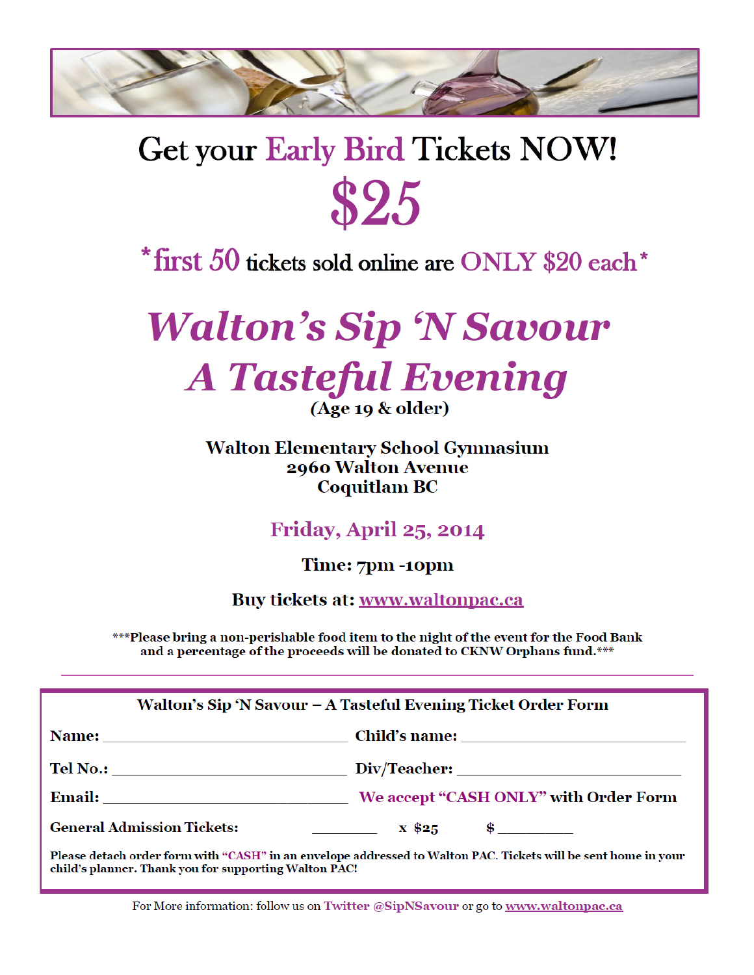

# **Get your Early Bird Tickets NOW!** \$25

# $*$  first 50 tickets sold online are ONLY \$20 each  $*$

# **Walton's Sip 'N Savour A Tasteful Evening**  $(Age 19 \& older)$

### **Walton Elementary School Gymnasium** 2960 Walton Avenue **Coquitlam BC**

**Friday, April 25, 2014** 

Time: 7pm -10pm

Buy tickets at: www.waltonpac.ca

\*\*\*Please bring a non-perishable food item to the night of the event for the Food Bank and a percentage of the proceeds will be donated to CKNW Orphans fund.\*\*\*

| Walton's Sip 'N Savour – A Tasteful Evening Ticket Order Form         |
|-----------------------------------------------------------------------|
|                                                                       |
|                                                                       |
|                                                                       |
| <b>General Admission Tickets:</b><br>$\sim$ $x \, \$25$ $\frac{1}{2}$ |

Please detach order form with "CASH" in an envelope addressed to Walton PAC. Tickets will be sent home in your child's planner. Thank you for supporting Walton PAC!

For More information: follow us on Twitter @SipNSavour or go to www.waltonpac.ca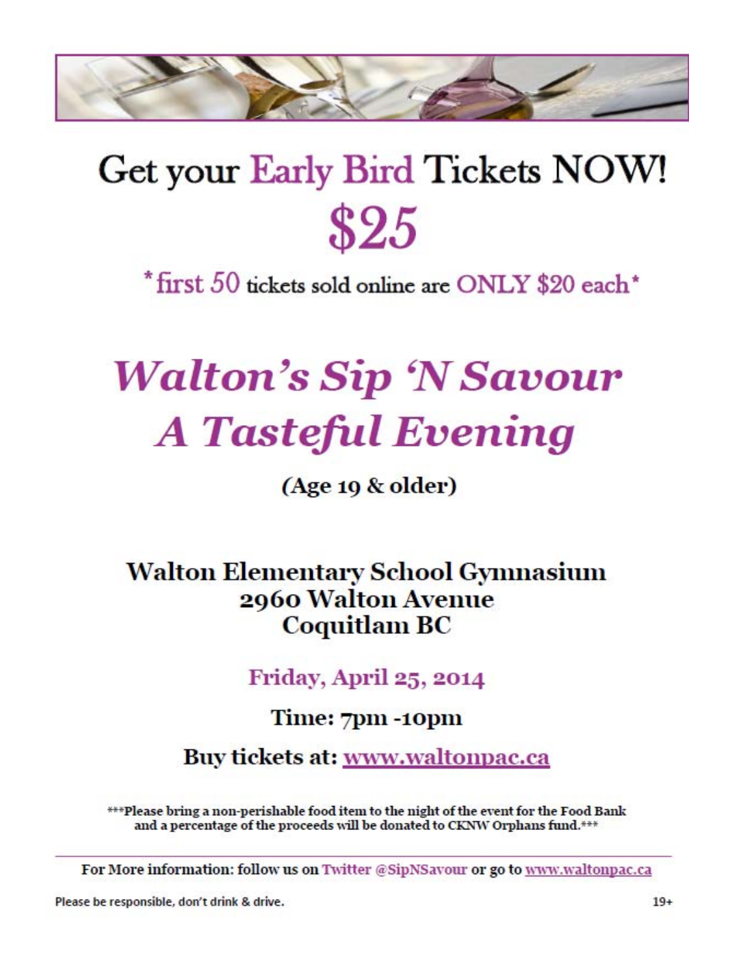

# Get your Early Bird Tickets NOW! \$25

\*first 50 tickets sold online are ONLY \$20 each\*

# **Walton's Sip 'N Savour A Tasteful Evening**

 $(Age 10 \& older)$ 

**Walton Elementary School Gymnasium** 2960 Walton Avenue **Coquitlam BC** 

**Friday, April 25, 2014** 

Time: 7pm -10pm

Buy tickets at: www.waltonpac.ca

\*\*\*Please bring a non-perishable food item to the night of the event for the Food Bank and a percentage of the proceeds will be donated to CKNW Orphans fund.\*\*\*

For More information: follow us on Twitter @SipNSayour or go to www.waltonpac.ca

Please be responsible, don't drink & drive.